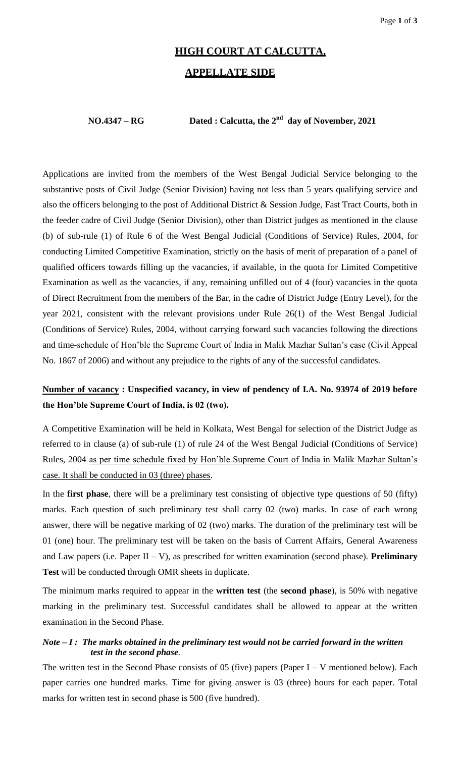# **HIGH COURT AT CALCUTTA,**

### **APPELLATE SIDE**

#### **NO.4347 – RG Dated : Calcutta, the 2nd day of November, 2021**

Applications are invited from the members of the West Bengal Judicial Service belonging to the substantive posts of Civil Judge (Senior Division) having not less than 5 years qualifying service and also the officers belonging to the post of Additional District & Session Judge, Fast Tract Courts, both in the feeder cadre of Civil Judge (Senior Division), other than District judges as mentioned in the clause (b) of sub-rule (1) of Rule 6 of the West Bengal Judicial (Conditions of Service) Rules, 2004, for conducting Limited Competitive Examination, strictly on the basis of merit of preparation of a panel of qualified officers towards filling up the vacancies, if available, in the quota for Limited Competitive Examination as well as the vacancies, if any, remaining unfilled out of 4 (four) vacancies in the quota of Direct Recruitment from the members of the Bar, in the cadre of District Judge (Entry Level), for the year 2021, consistent with the relevant provisions under Rule 26(1) of the West Bengal Judicial (Conditions of Service) Rules, 2004, without carrying forward such vacancies following the directions and time-schedule of Hon'ble the Supreme Court of India in Malik Mazhar Sultan's case (Civil Appeal No. 1867 of 2006) and without any prejudice to the rights of any of the successful candidates.

## **Number of vacancy : Unspecified vacancy, in view of pendency of I.A. No. 93974 of 2019 before the Hon'ble Supreme Court of India, is 02 (two).**

A Competitive Examination will be held in Kolkata, West Bengal for selection of the District Judge as referred to in clause (a) of sub-rule (1) of rule 24 of the West Bengal Judicial (Conditions of Service) Rules, 2004 as per time schedule fixed by Hon'ble Supreme Court of India in Malik Mazhar Sultan's case. It shall be conducted in 03 (three) phases.

In the **first phase**, there will be a preliminary test consisting of objective type questions of 50 (fifty) marks. Each question of such preliminary test shall carry 02 (two) marks. In case of each wrong answer, there will be negative marking of 02 (two) marks. The duration of the preliminary test will be 01 (one) hour. The preliminary test will be taken on the basis of Current Affairs, General Awareness and Law papers (i.e. Paper II – V), as prescribed for written examination (second phase). **Preliminary Test** will be conducted through OMR sheets in duplicate.

The minimum marks required to appear in the **written test** (the **second phase**), is 50% with negative marking in the preliminary test. Successful candidates shall be allowed to appear at the written examination in the Second Phase.

#### *Note – I : The marks obtained in the preliminary test would not be carried forward in the written test in the second phase.*

The written test in the Second Phase consists of 05 (five) papers (Paper I – V mentioned below). Each paper carries one hundred marks. Time for giving answer is 03 (three) hours for each paper. Total marks for written test in second phase is 500 (five hundred).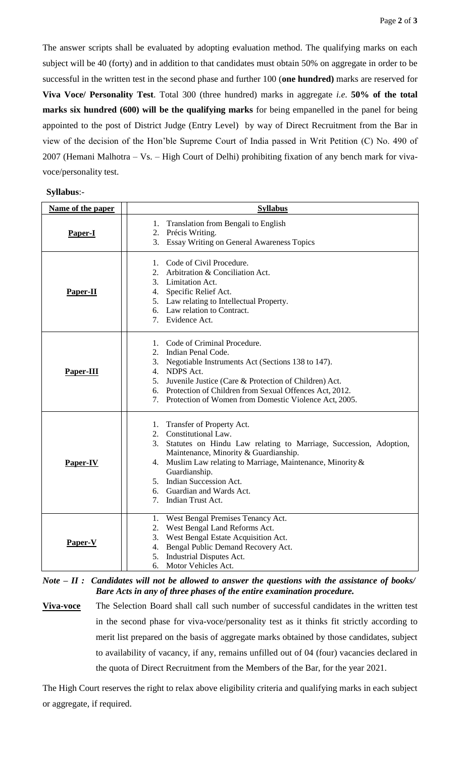The answer scripts shall be evaluated by adopting evaluation method. The qualifying marks on each subject will be 40 (forty) and in addition to that candidates must obtain 50% on aggregate in order to be successful in the written test in the second phase and further 100 (**one hundred)** marks are reserved for **Viva Voce/ Personality Test**. Total 300 (three hundred) marks in aggregate *i.e*. **50% of the total marks six hundred (600) will be the qualifying marks** for being empanelled in the panel for being appointed to the post of District Judge (Entry Level) by way of Direct Recruitment from the Bar in view of the decision of the Hon'ble Supreme Court of India passed in Writ Petition (C) No. 490 of 2007 (Hemani Malhotra – Vs. – High Court of Delhi) prohibiting fixation of any bench mark for vivavoce/personality test.

| Syllabus:- |
|------------|
|------------|

| Name of the paper | <b>Syllabus</b>                                                                                                                                                                                                                                                                                                                                  |
|-------------------|--------------------------------------------------------------------------------------------------------------------------------------------------------------------------------------------------------------------------------------------------------------------------------------------------------------------------------------------------|
| Paper-I           | 1. Translation from Bengali to English<br>2. Précis Writing.<br>3. Essay Writing on General Awareness Topics                                                                                                                                                                                                                                     |
| Paper-II          | 1. Code of Civil Procedure.<br>2. Arbitration & Conciliation Act.<br>3. Limitation Act.<br>4. Specific Relief Act.<br>5. Law relating to Intellectual Property.<br>6. Law relation to Contract.<br>7. Evidence Act.                                                                                                                              |
| Paper-III         | 1. Code of Criminal Procedure.<br>2. Indian Penal Code.<br>3. Negotiable Instruments Act (Sections 138 to 147).<br>4. NDPS Act.<br>5. Juvenile Justice (Care & Protection of Children) Act.<br>6. Protection of Children from Sexual Offences Act, 2012.<br>7. Protection of Women from Domestic Violence Act, 2005.                             |
| Paper-IV          | 1. Transfer of Property Act.<br>2. Constitutional Law.<br>Statutes on Hindu Law relating to Marriage, Succession, Adoption,<br>3.<br>Maintenance, Minority & Guardianship.<br>Muslim Law relating to Marriage, Maintenance, Minority &<br>4.<br>Guardianship.<br>5. Indian Succession Act.<br>6. Guardian and Wards Act.<br>7. Indian Trust Act. |
| Paper-V           | 1. West Bengal Premises Tenancy Act.<br>2. West Bengal Land Reforms Act.<br>3. West Bengal Estate Acquisition Act.<br>Bengal Public Demand Recovery Act.<br>4.<br>5. Industrial Disputes Act.<br>6.<br>Motor Vehicles Act.                                                                                                                       |

*Note – II : Candidates will not be allowed to answer the questions with the assistance of books/ Bare Acts in any of three phases of the entire examination procedure.* 

**Viva-voce** The Selection Board shall call such number of successful candidates in the written test in the second phase for viva-voce/personality test as it thinks fit strictly according to merit list prepared on the basis of aggregate marks obtained by those candidates, subject to availability of vacancy, if any, remains unfilled out of 04 (four) vacancies declared in the quota of Direct Recruitment from the Members of the Bar, for the year 2021.

The High Court reserves the right to relax above eligibility criteria and qualifying marks in each subject or aggregate, if required.